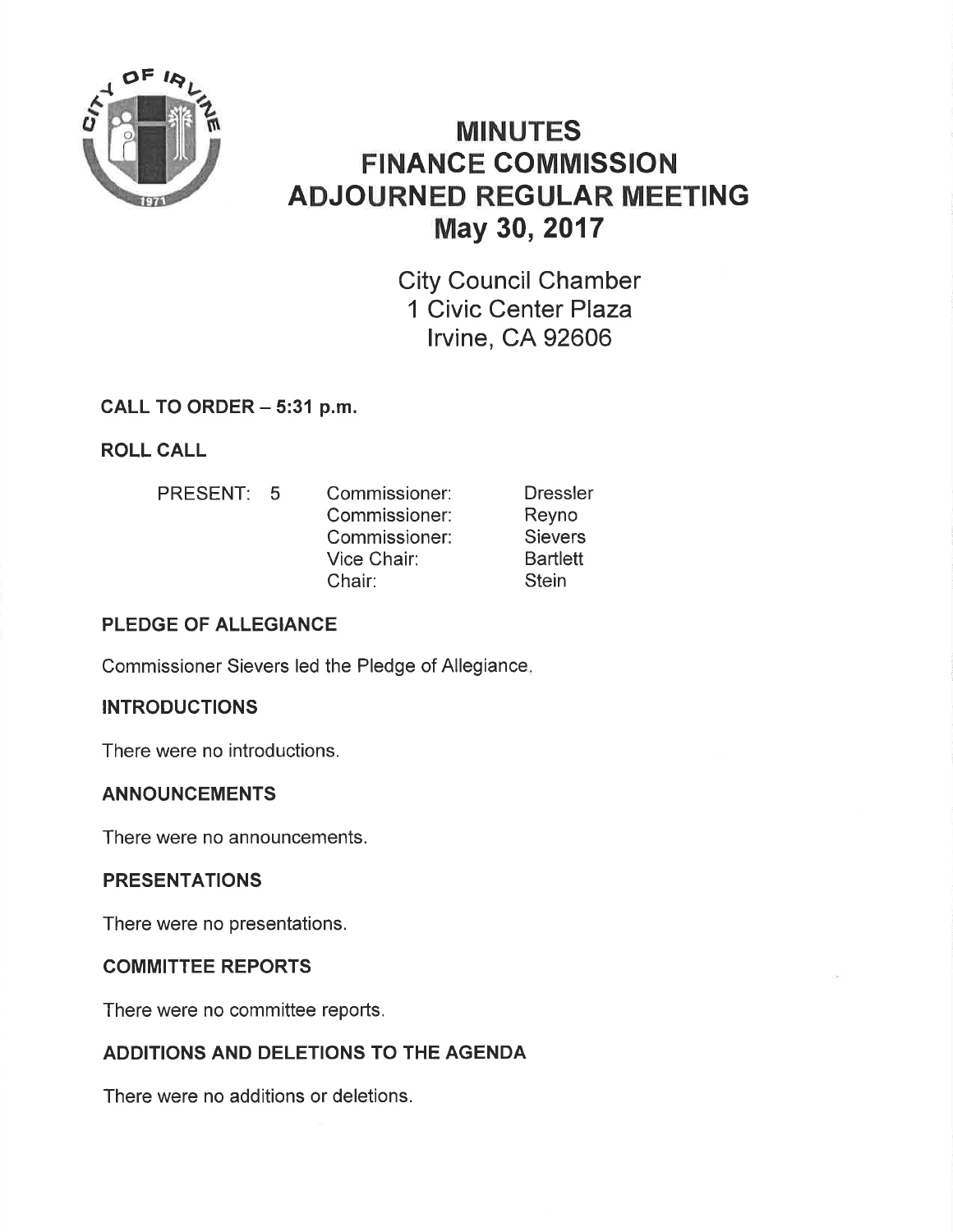

# MINUTES FINANCE COMMISSION ADJOURNED REGULAR MEETING May 30,2017

City Council Chamber 1 Civic Center Plaza lrvine, CA 92606

## CALL TO ORDER - 5:31 p.m.

ROLL CALL

PRESENT: 5 Commissioner: Commissioner: Commissioner: Vice Chair: Chair: **Dressler** Reyno Sievers **Bartlett Stein** 

# PLEDGE OF ALLEGIANCE

Commissioner Sievers led the Pledge of Allegiance

### INTRODUCTIONS

There were no introductions.

### ANNOUNCEMENTS

There were no announcements.

### PRESENTATIONS

There were no presentations,

### COMMITTEE REPORTS

There were no committee reports.

# ADDITIONS AND DELETIONS TO THE AGENDA

There were no additions or deletions.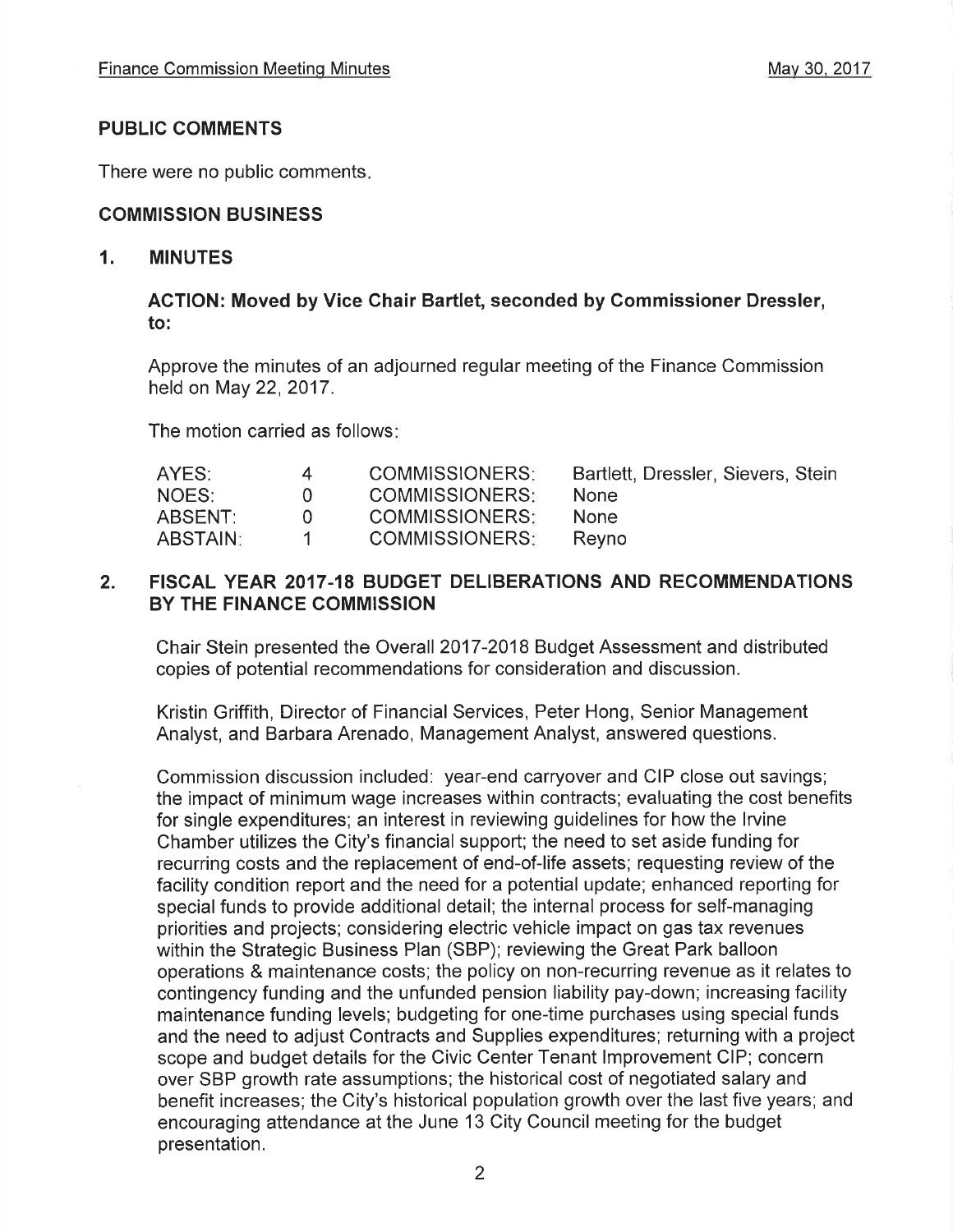#### PUBLIC COMMENTS

There were no public comments

#### COMMISSION BUSINESS

#### 1. MINUTES

#### AGTION: Moved by Vice Chair Bartlet, seconded by Commissioner Dressler, to:

Approve the minutes of an adjourned regular meeting of the Finance Commission held on May 22, 2017.

The motion carried as follows:

| <b>COMMISSIONERS:</b> | Bartlett, Dressler, Sievers, Stein |
|-----------------------|------------------------------------|
| <b>COMMISSIONERS:</b> | None.                              |
| <b>COMMISSIONERS:</b> | <b>None</b>                        |
| <b>COMMISSIONERS:</b> | Revno                              |
|                       |                                    |

#### 2, FISCAL YEAR 2017.18 BUDGET DELIBERATIONS AND RECOMMENDATIONS BY THE FINANCE COMMISSION

Chair Stein presented the Overall 2017-2018 Budget Assessment and distributed copies of potential recommendations for consideration and discussion.

Kristin Griffith, Director of Financial Services, Peter Hong, Senior Management Analyst, and Barbara Arenado, Management Analyst, answered questions.

Commission discussion included: year-end carryover and CIP close out savings; the impact of minimum wage increases within contracts; evaluating the cost benefits for single expenditures; an interest in reviewing guidelines for how the lrvine Chamber utilizes the City's financial support; the need to set aside funding for recurring costs and the replacement of end-of-life assets; requesting review of the facility condition report and the need for a potential update; enhanced reporting for special funds to provide additional detail; the internal process for self-managing priorities and projects; considering electric vehicle impact on gas tax revenues within the Strategic Business Plan (SBP); reviewing the Great Park balloon operations & maintenance costs; the policy on non-recurring revenue as it relates to contingency funding and the unfunded pension liability pay-down; increasing facility maintenance funding levels; budgeting for one-time purchases using special funds and the need to adjust Contracts and Supplies expenditures; returning with a project scope and budget details for the Civic Center Tenant lmprovement CIP; concern over SBP growth rate assumptions; the historical cost of negotiated salary and benefit increases; the City's historical population growth over the last five years; and encouraging attendance at the June 13 City Council meeting for the budget presentation.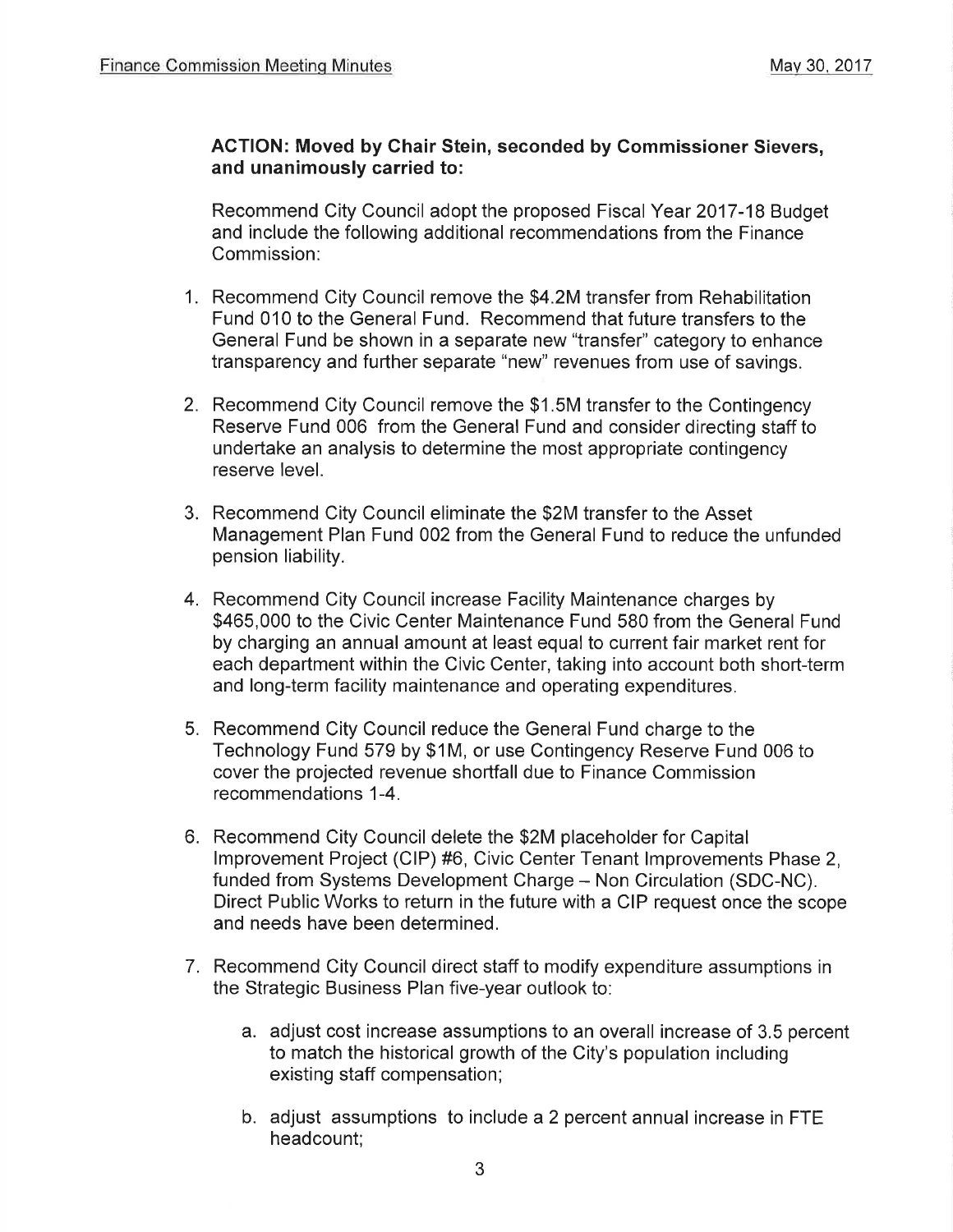#### ACTION: Moved by Chair Stein, seconded by Gommissioner Sievers, and unanimously carried to:

Recommend City Council adopt the proposed Fiscal Year 2017-18 Budget and include the following additional recommendations from the Finance Commission:

- 1. Recommend City Council remove the \$4.2M transfer from Rehabilitation Fund 010 to the General Fund. Recommend that future transfers to the General Fund be shown in a separate new "transfer" category to enhance transparency and further separate "new" revenues from use of savings.
- 2. Recommend City Council remove the \$1.5M transfer to the Contingency Reserve Fund 006 from the General Fund and consider directing staff to undertake an analysis to determine the most appropriate contingency reserve level.
- 3. Recommend City Council eliminate the \$2M transfer to the Asset Management Plan Fund 002 from the General Fund to reduce the unfunded pension liability.
- 4. Recommend City Council increase Facility Maintenance charges by \$465,000 to the Civic Center Maintenance Fund 580 from the General Fund by charging an annual amount at least equal to current fair market rent for each department within the Civic Center, taking into account both short-term and long-term facility maintenance and operating expenditures.
- 5. Recommend City Council reduce the General Fund charge to the Technology Fund 579 by \$1M, or use Contingency Reserve Fund 006 to cover the projected revenue shortfall due to Finance Commission recommendations 1-4.
- 6. Recommend City Council delete the \$2M placeholder for Capital lmprovement Project (ClP) #6, Civic Center Tenant lmprovements Phase 2, funded from Systems Development Charge - Non Circulation (SDC-NC). Direct Public Works to return in the future with a CIP request once the scope and needs have been determined.
- 7. Recommend City Council direct staff to modify expenditure assumptions in the Strategic Business Plan five-year outlook to:
	- a. adjust cost increase assumptions to an overall increase of 3.5 percent to match the historical growth of the City's population including existing staff compensation;
	- b. adjust assumptions to include a 2 percent annual increase in FTE headcount;